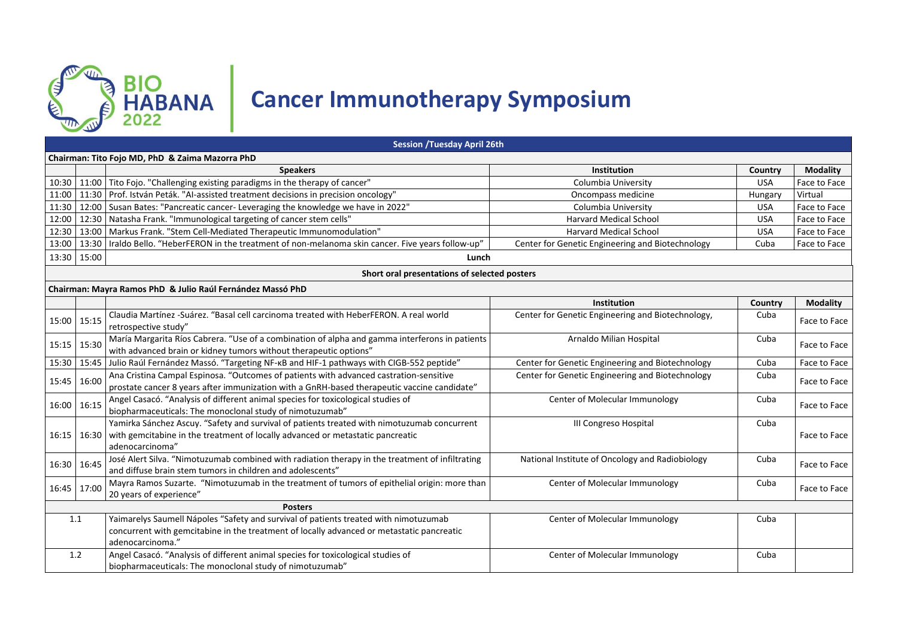

## **Cancer Immunotherapy Symposium**

|                | <b>Session /Tuesday April 26th</b>              |                                                                                                                                                                                                       |                                                   |            |                 |  |  |  |
|----------------|-------------------------------------------------|-------------------------------------------------------------------------------------------------------------------------------------------------------------------------------------------------------|---------------------------------------------------|------------|-----------------|--|--|--|
|                | Chairman: Tito Fojo MD, PhD & Zaima Mazorra PhD |                                                                                                                                                                                                       |                                                   |            |                 |  |  |  |
|                |                                                 | <b>Speakers</b>                                                                                                                                                                                       | Institution                                       | Country    | <b>Modality</b> |  |  |  |
|                |                                                 | 10:30 11:00 Tito Fojo. "Challenging existing paradigms in the therapy of cancer"                                                                                                                      | Columbia University                               | <b>USA</b> | Face to Face    |  |  |  |
| 11:00          | 11:30                                           | Prof. István Peták. "Al-assisted treatment decisions in precision oncology"                                                                                                                           | Oncompass medicine                                | Hungary    | Virtual         |  |  |  |
| 11:30          | 12:00                                           | Susan Bates: "Pancreatic cancer- Leveraging the knowledge we have in 2022"                                                                                                                            | Columbia University                               | <b>USA</b> | Face to Face    |  |  |  |
| 12:00          | 12:30                                           | Natasha Frank. "Immunological targeting of cancer stem cells"                                                                                                                                         | <b>Harvard Medical School</b>                     | <b>USA</b> | Face to Face    |  |  |  |
| 12:30          | 13:00                                           | Markus Frank. "Stem Cell-Mediated Therapeutic Immunomodulation"                                                                                                                                       | <b>Harvard Medical School</b>                     | <b>USA</b> | Face to Face    |  |  |  |
| 13:00          | 13:30                                           | Iraldo Bello. "HeberFERON in the treatment of non-melanoma skin cancer. Five years follow-up"                                                                                                         | Center for Genetic Engineering and Biotechnology  | Cuba       | Face to Face    |  |  |  |
|                | 13:30 15:00                                     | Lunch                                                                                                                                                                                                 |                                                   |            |                 |  |  |  |
|                |                                                 | Short oral presentations of selected posters                                                                                                                                                          |                                                   |            |                 |  |  |  |
|                |                                                 | Chairman: Mayra Ramos PhD & Julio Raúl Fernández Massó PhD                                                                                                                                            |                                                   |            |                 |  |  |  |
|                |                                                 |                                                                                                                                                                                                       | <b>Institution</b>                                | Country    | <b>Modality</b> |  |  |  |
|                | 15:00 15:15                                     | Claudia Martínez -Suárez. "Basal cell carcinoma treated with HeberFERON. A real world<br>retrospective study"                                                                                         | Center for Genetic Engineering and Biotechnology, | Cuba       | Face to Face    |  |  |  |
| 15:15 15:30    |                                                 | María Margarita Ríos Cabrera. "Use of a combination of alpha and gamma interferons in patients<br>with advanced brain or kidney tumors without therapeutic options"                                   | Arnaldo Milian Hospital                           | Cuba       | Face to Face    |  |  |  |
|                | 15:30 15:45                                     | Julio Raúl Fernández Massó. "Targeting NF-KB and HIF-1 pathways with CIGB-552 peptide"                                                                                                                | Center for Genetic Engineering and Biotechnology  | Cuba       | Face to Face    |  |  |  |
| 15:45 16:00    |                                                 | Ana Cristina Campal Espinosa. "Outcomes of patients with advanced castration-sensitive<br>prostate cancer 8 years after immunization with a GnRH-based therapeutic vaccine candidate"                 | Center for Genetic Engineering and Biotechnology  | Cuba       | Face to Face    |  |  |  |
| 16:00 16:15    |                                                 | Angel Casacó. "Analysis of different animal species for toxicological studies of<br>biopharmaceuticals: The monoclonal study of nimotuzumab"                                                          | Center of Molecular Immunology                    | Cuba       | Face to Face    |  |  |  |
|                | 16:15 16:30                                     | Yamirka Sánchez Ascuy. "Safety and survival of patients treated with nimotuzumab concurrent<br>with gemcitabine in the treatment of locally advanced or metastatic pancreatic<br>adenocarcinoma"      | III Congreso Hospital                             | Cuba       | Face to Face    |  |  |  |
|                | 16:30 16:45                                     | José Alert Silva. "Nimotuzumab combined with radiation therapy in the treatment of infiltrating<br>and diffuse brain stem tumors in children and adolescents"                                         | National Institute of Oncology and Radiobiology   | Cuba       | Face to Face    |  |  |  |
|                | 16:45 17:00                                     | Mayra Ramos Suzarte. "Nimotuzumab in the treatment of tumors of epithelial origin: more than<br>20 years of experience"                                                                               | Center of Molecular Immunology                    | Cuba       | Face to Face    |  |  |  |
| <b>Posters</b> |                                                 |                                                                                                                                                                                                       |                                                   |            |                 |  |  |  |
|                | 1.1                                             | Yaimarelys Saumell Nápoles "Safety and survival of patients treated with nimotuzumab<br>concurrent with gemcitabine in the treatment of locally advanced or metastatic pancreatic<br>adenocarcinoma." | Center of Molecular Immunology                    | Cuba       |                 |  |  |  |
| 1.2            |                                                 | Angel Casacó. "Analysis of different animal species for toxicological studies of<br>biopharmaceuticals: The monoclonal study of nimotuzumab"                                                          | Center of Molecular Immunology                    | Cuba       |                 |  |  |  |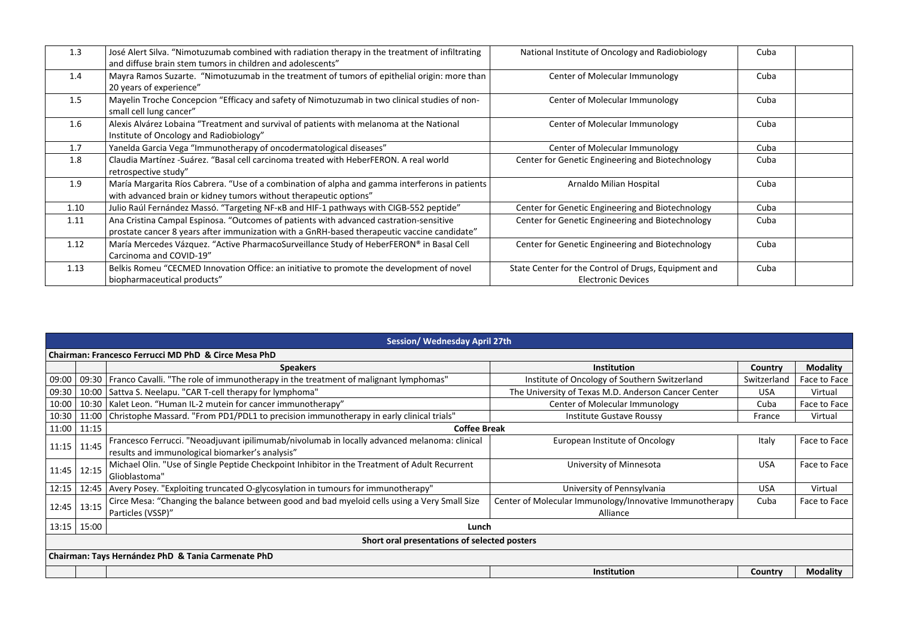| 1.3              | José Alert Silva. "Nimotuzumab combined with radiation therapy in the treatment of infiltrating<br>and diffuse brain stem tumors in children and adolescents"                         | National Institute of Oncology and Radiobiology                                   | Cuba |  |
|------------------|---------------------------------------------------------------------------------------------------------------------------------------------------------------------------------------|-----------------------------------------------------------------------------------|------|--|
| 1.4              | Mayra Ramos Suzarte. "Nimotuzumab in the treatment of tumors of epithelial origin: more than<br>20 years of experience"                                                               | Center of Molecular Immunology                                                    | Cuba |  |
| $1.5\phantom{0}$ | Mayelin Troche Concepcion "Efficacy and safety of Nimotuzumab in two clinical studies of non-<br>small cell lung cancer"                                                              | Center of Molecular Immunology                                                    | Cuba |  |
| 1.6              | Alexis Alvárez Lobaina "Treatment and survival of patients with melanoma at the National<br>Institute of Oncology and Radiobiology"                                                   | Center of Molecular Immunology                                                    | Cuba |  |
| 1.7              | Yanelda Garcia Vega "Immunotherapy of oncodermatological diseases"                                                                                                                    | Center of Molecular Immunology                                                    | Cuba |  |
| 1.8              | Claudia Martínez -Suárez. "Basal cell carcinoma treated with HeberFERON. A real world<br>retrospective study"                                                                         | Center for Genetic Engineering and Biotechnology                                  | Cuba |  |
| 1.9              | María Margarita Ríos Cabrera. "Use of a combination of alpha and gamma interferons in patients<br>with advanced brain or kidney tumors without therapeutic options"                   | Arnaldo Milian Hospital                                                           | Cuba |  |
| 1.10             | Julio Raúl Fernández Massó. "Targeting NF-KB and HIF-1 pathways with CIGB-552 peptide"                                                                                                | Center for Genetic Engineering and Biotechnology                                  | Cuba |  |
| 1.11             | Ana Cristina Campal Espinosa. "Outcomes of patients with advanced castration-sensitive<br>prostate cancer 8 years after immunization with a GnRH-based therapeutic vaccine candidate" | Center for Genetic Engineering and Biotechnology                                  | Cuba |  |
| 1.12             | María Mercedes Vázquez. "Active PharmacoSurveillance Study of HeberFERON® in Basal Cell<br>Carcinoma and COVID-19"                                                                    | Center for Genetic Engineering and Biotechnology                                  | Cuba |  |
| 1.13             | Belkis Romeu "CECMED Innovation Office: an initiative to promote the development of novel<br>biopharmaceutical products"                                                              | State Center for the Control of Drugs, Equipment and<br><b>Electronic Devices</b> | Cuba |  |

| <b>Session/ Wednesday April 27th</b>               |                                                      |                                                                                                                |                                                         |             |                 |  |  |
|----------------------------------------------------|------------------------------------------------------|----------------------------------------------------------------------------------------------------------------|---------------------------------------------------------|-------------|-----------------|--|--|
|                                                    | Chairman: Francesco Ferrucci MD PhD & Circe Mesa PhD |                                                                                                                |                                                         |             |                 |  |  |
|                                                    |                                                      | <b>Speakers</b>                                                                                                | <b>Institution</b>                                      | Country     | <b>Modality</b> |  |  |
| 09:00                                              |                                                      | 09:30   Franco Cavalli. "The role of immunotherapy in the treatment of malignant lymphomas"                    | Institute of Oncology of Southern Switzerland           | Switzerland | Face to Face    |  |  |
| 09:30                                              | 10:00                                                | Sattva S. Neelapu. "CAR T-cell therapy for lymphoma"                                                           | The University of Texas M.D. Anderson Cancer Center     | <b>USA</b>  | Virtual         |  |  |
| 10:00                                              | 10:30                                                | Kalet Leon. "Human IL-2 mutein for cancer immunotherapy"                                                       | Center of Molecular Immunology                          | Cuba        | Face to Face    |  |  |
| 10:30                                              | 11:00                                                | Christophe Massard. "From PD1/PDL1 to precision immunotherapy in early clinical trials"                        | Institute Gustave Roussy                                | France      | Virtual         |  |  |
| 11:00                                              | 11:15                                                | <b>Coffee Break</b>                                                                                            |                                                         |             |                 |  |  |
| 11:15                                              | 11:45                                                | Francesco Ferrucci. "Neoadjuvant ipilimumab/nivolumab in locally advanced melanoma: clinical                   | European Institute of Oncology                          | Italy       | Face to Face    |  |  |
|                                                    |                                                      | results and immunological biomarker's analysis"                                                                |                                                         |             |                 |  |  |
| 11:45                                              | 12:15                                                | Michael Olin. "Use of Single Peptide Checkpoint Inhibitor in the Treatment of Adult Recurrent<br>Glioblastoma" | University of Minnesota                                 | <b>USA</b>  | Face to Face    |  |  |
| 12:15                                              | 12:45                                                | Avery Posey. "Exploiting truncated O-glycosylation in tumours for immunotherapy"                               | University of Pennsylvania                              | <b>USA</b>  | Virtual         |  |  |
| 12:45                                              | 13:15                                                | Circe Mesa: "Changing the balance between good and bad myeloid cells using a Very Small Size                   | Center of Molecular Immunology/Innovative Immunotherapy | Cuba        | Face to Face    |  |  |
|                                                    |                                                      | Particles (VSSP)"                                                                                              | Alliance                                                |             |                 |  |  |
| 13:15                                              | 15:00<br>Lunch                                       |                                                                                                                |                                                         |             |                 |  |  |
| Short oral presentations of selected posters       |                                                      |                                                                                                                |                                                         |             |                 |  |  |
| Chairman: Tays Hernández PhD & Tania Carmenate PhD |                                                      |                                                                                                                |                                                         |             |                 |  |  |
|                                                    |                                                      |                                                                                                                | <b>Institution</b>                                      | Country     | <b>Modality</b> |  |  |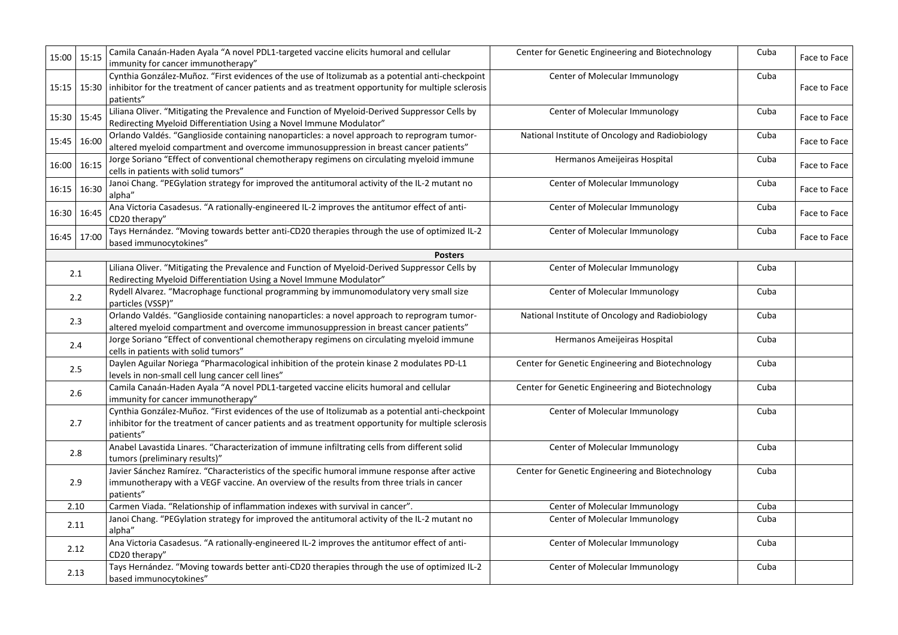| 15:00 15:15 |             | Camila Canaán-Haden Ayala "A novel PDL1-targeted vaccine elicits humoral and cellular<br>immunity for cancer immunotherapy"                                                                                         | Center for Genetic Engineering and Biotechnology | Cuba | Face to Face |
|-------------|-------------|---------------------------------------------------------------------------------------------------------------------------------------------------------------------------------------------------------------------|--------------------------------------------------|------|--------------|
|             | 15:15 15:30 | Cynthia González-Muñoz. "First evidences of the use of Itolizumab as a potential anti-checkpoint<br>inhibitor for the treatment of cancer patients and as treatment opportunity for multiple sclerosis<br>patients" | Center of Molecular Immunology                   | Cuba | Face to Face |
| 15:30 15:45 |             | Liliana Oliver. "Mitigating the Prevalence and Function of Myeloid-Derived Suppressor Cells by<br>Redirecting Myeloid Differentiation Using a Novel Immune Modulator"                                               | Center of Molecular Immunology                   | Cuba | Face to Face |
| 15:45       | 16:00       | Orlando Valdés. "Ganglioside containing nanoparticles: a novel approach to reprogram tumor-<br>altered myeloid compartment and overcome immunosuppression in breast cancer patients"                                | National Institute of Oncology and Radiobiology  | Cuba | Face to Face |
| 16:00       | 16:15       | Jorge Soriano "Effect of conventional chemotherapy regimens on circulating myeloid immune<br>cells in patients with solid tumors"                                                                                   | Hermanos Ameijeiras Hospital                     | Cuba | Face to Face |
| 16:15       | 16:30       | Janoi Chang. "PEGylation strategy for improved the antitumoral activity of the IL-2 mutant no<br>alpha"                                                                                                             | Center of Molecular Immunology                   | Cuba | Face to Face |
| 16:30       | 16:45       | Ana Victoria Casadesus. "A rationally-engineered IL-2 improves the antitumor effect of anti-<br>CD20 therapy"                                                                                                       | Center of Molecular Immunology                   | Cuba | Face to Face |
| 16:45       | 17:00       | Tays Hernández. "Moving towards better anti-CD20 therapies through the use of optimized IL-2<br>based immunocytokines"                                                                                              | Center of Molecular Immunology                   | Cuba | Face to Face |
|             |             | <b>Posters</b>                                                                                                                                                                                                      |                                                  |      |              |
|             | 2.1         | Liliana Oliver. "Mitigating the Prevalence and Function of Myeloid-Derived Suppressor Cells by<br>Redirecting Myeloid Differentiation Using a Novel Immune Modulator"                                               | Center of Molecular Immunology                   | Cuba |              |
|             | 2.2         | Rydell Alvarez. "Macrophage functional programming by immunomodulatory very small size<br>particles (VSSP)"                                                                                                         | Center of Molecular Immunology                   | Cuba |              |
|             | 2.3         | Orlando Valdés. "Ganglioside containing nanoparticles: a novel approach to reprogram tumor-<br>altered myeloid compartment and overcome immunosuppression in breast cancer patients"                                | National Institute of Oncology and Radiobiology  | Cuba |              |
|             | 2.4         | Jorge Soriano "Effect of conventional chemotherapy regimens on circulating myeloid immune<br>cells in patients with solid tumors"                                                                                   | Hermanos Ameijeiras Hospital                     | Cuba |              |
|             | 2.5         | Daylen Aguilar Noriega "Pharmacological inhibition of the protein kinase 2 modulates PD-L1<br>levels in non-small cell lung cancer cell lines"                                                                      | Center for Genetic Engineering and Biotechnology | Cuba |              |
|             | 2.6         | Camila Canaán-Haden Ayala "A novel PDL1-targeted vaccine elicits humoral and cellular<br>immunity for cancer immunotherapy"                                                                                         | Center for Genetic Engineering and Biotechnology | Cuba |              |
|             | 2.7         | Cynthia González-Muñoz. "First evidences of the use of Itolizumab as a potential anti-checkpoint<br>inhibitor for the treatment of cancer patients and as treatment opportunity for multiple sclerosis<br>patients" | Center of Molecular Immunology                   | Cuba |              |
|             | 2.8         | Anabel Lavastida Linares. "Characterization of immune infiltrating cells from different solid<br>tumors (preliminary results)"                                                                                      | Center of Molecular Immunology                   | Cuba |              |
|             | 2.9         | Javier Sánchez Ramírez. "Characteristics of the specific humoral immune response after active<br>immunotherapy with a VEGF vaccine. An overview of the results from three trials in cancer<br>patients"             | Center for Genetic Engineering and Biotechnology | Cuba |              |
|             | 2.10        | Carmen Viada. "Relationship of inflammation indexes with survival in cancer".                                                                                                                                       | Center of Molecular Immunology                   | Cuba |              |
|             | 2.11        | Janoi Chang. "PEGylation strategy for improved the antitumoral activity of the IL-2 mutant no<br>alpha"                                                                                                             | Center of Molecular Immunology                   | Cuba |              |
|             | 2.12        | Ana Victoria Casadesus. "A rationally-engineered IL-2 improves the antitumor effect of anti-<br>CD20 therapy"                                                                                                       | Center of Molecular Immunology                   | Cuba |              |
| 2.13        |             | Tays Hernández. "Moving towards better anti-CD20 therapies through the use of optimized IL-2<br>based immunocytokines"                                                                                              | Center of Molecular Immunology                   | Cuba |              |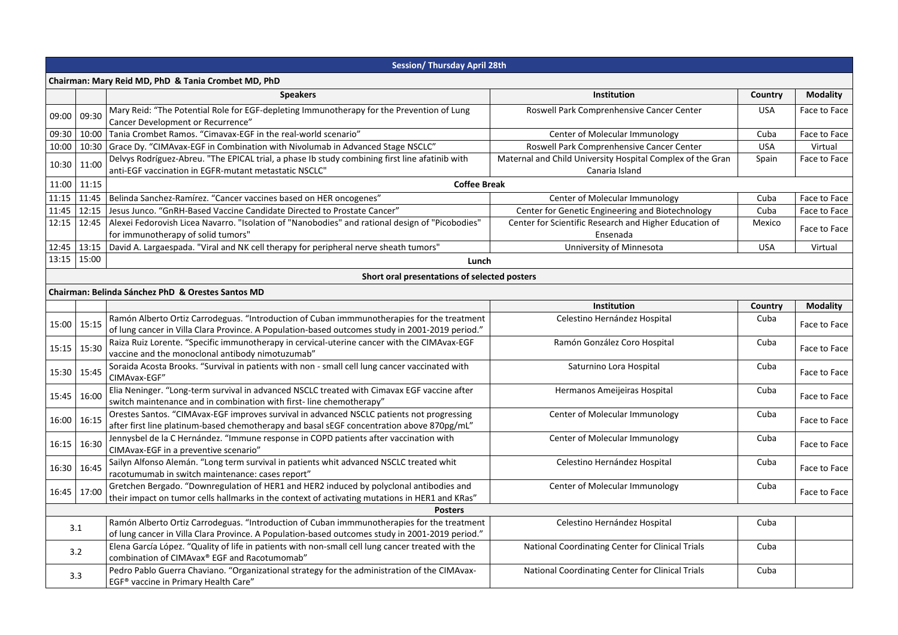|                                                     | <b>Session/ Thursday April 28th</b> |                                                                                                                                                                                               |                                                                              |            |                 |  |  |
|-----------------------------------------------------|-------------------------------------|-----------------------------------------------------------------------------------------------------------------------------------------------------------------------------------------------|------------------------------------------------------------------------------|------------|-----------------|--|--|
| Chairman: Mary Reid MD, PhD & Tania Crombet MD, PhD |                                     |                                                                                                                                                                                               |                                                                              |            |                 |  |  |
|                                                     |                                     | <b>Speakers</b>                                                                                                                                                                               | Institution                                                                  | Country    | <b>Modality</b> |  |  |
| 09:00                                               | 09:30                               | Mary Reid: "The Potential Role for EGF-depleting Immunotherapy for the Prevention of Lung<br>Cancer Development or Recurrence"                                                                | Roswell Park Comprenhensive Cancer Center                                    | <b>USA</b> | Face to Face    |  |  |
| 09:30                                               | 10:00                               | Tania Crombet Ramos. "Cimavax-EGF in the real-world scenario"                                                                                                                                 | Center of Molecular Immunology                                               | Cuba       | Face to Face    |  |  |
| 10:00 10:30                                         |                                     | Grace Dy. "CIMAvax-EGF in Combination with Nivolumab in Advanced Stage NSCLC"                                                                                                                 | Roswell Park Comprenhensive Cancer Center                                    | <b>USA</b> | Virtual         |  |  |
| 10:30 11:00                                         |                                     | Delvys Rodríguez-Abreu. "The EPICAL trial, a phase Ib study combining first line afatinib with<br>anti-EGF vaccination in EGFR-mutant metastatic NSCLC"                                       | Maternal and Child University Hospital Complex of the Gran<br>Canaria Island | Spain      | Face to Face    |  |  |
| 11:00                                               | 11:15                               | <b>Coffee Break</b>                                                                                                                                                                           |                                                                              |            |                 |  |  |
| 11:15 11:45                                         |                                     | Belinda Sanchez-Ramírez. "Cancer vaccines based on HER oncogenes"                                                                                                                             | Center of Molecular Immunology                                               | Cuba       | Face to Face    |  |  |
| 11:45 12:15                                         |                                     | Jesus Junco. "GnRH-Based Vaccine Candidate Directed to Prostate Cancer"                                                                                                                       | Center for Genetic Engineering and Biotechnology                             | Cuba       | Face to Face    |  |  |
| 12:15 12:45                                         |                                     | Alexei Fedorovish Licea Navarro. "Isolation of "Nanobodies" and rational design of "Picobodies"<br>for immunotherapy of solid tumors"                                                         | Center for Scientific Research and Higher Education of<br>Ensenada           | Mexico     | Face to Face    |  |  |
| 12:45 13:15                                         |                                     | David A. Largaespada. "Viral and NK cell therapy for peripheral nerve sheath tumors"                                                                                                          | Unniversity of Minnesota                                                     | <b>USA</b> | Virtual         |  |  |
| 13:15 15:00                                         |                                     | Lunch                                                                                                                                                                                         |                                                                              |            |                 |  |  |
|                                                     |                                     | Short oral presentations of selected posters                                                                                                                                                  |                                                                              |            |                 |  |  |
|                                                     |                                     | Chairman: Belinda Sánchez PhD & Orestes Santos MD                                                                                                                                             |                                                                              |            |                 |  |  |
|                                                     |                                     |                                                                                                                                                                                               | Institution                                                                  | Country    | <b>Modality</b> |  |  |
| 15:00   15:15                                       |                                     | Ramón Alberto Ortiz Carrodeguas. "Introduction of Cuban immmunotherapies for the treatment<br>of lung cancer in Villa Clara Province. A Population-based outcomes study in 2001-2019 period." | Celestino Hernández Hospital                                                 | Cuba       | Face to Face    |  |  |
| 15:15   15:30                                       |                                     | Raiza Ruiz Lorente. "Specific immunotherapy in cervical-uterine cancer with the CIMAvax-EGF<br>vaccine and the monoclonal antibody nimotuzumab"                                               | Ramón González Coro Hospital                                                 | Cuba       | Face to Face    |  |  |
| 15:30 15:45                                         |                                     | Soraida Acosta Brooks. "Survival in patients with non - small cell lung cancer vaccinated with<br>CIMAvax-EGF"                                                                                | Saturnino Lora Hospital                                                      | Cuba       | Face to Face    |  |  |
| 15:45 16:00                                         |                                     | Elia Neninger. "Long-term survival in advanced NSCLC treated with Cimavax EGF vaccine after<br>switch maintenance and in combination with first-line chemotherapy"                            | Hermanos Ameijeiras Hospital                                                 | Cuba       | Face to Face    |  |  |
| 16:00 16:15                                         |                                     | Orestes Santos. "CIMAvax-EGF improves survival in advanced NSCLC patients not progressing<br>after first line platinum-based chemotherapy and basal sEGF concentration above 870pg/mL"        | Center of Molecular Immunology                                               | Cuba       | Face to Face    |  |  |
| 16:15 16:30                                         |                                     | Jennysbel de la C Hernández. "Immune response in COPD patients after vaccination with<br>CIMAvax-EGF in a preventive scenario"                                                                | Center of Molecular Immunology                                               | Cuba       | Face to Face    |  |  |
| 16:30 16:45                                         |                                     | Sailyn Alfonso Alemán. "Long term survival in patients whit advanced NSCLC treated whit<br>racotumumab in switch maintenance: cases report"                                                   | Celestino Hernández Hospital                                                 | Cuba       | Face to Face    |  |  |
| 16:45 17:00                                         |                                     | Gretchen Bergado. "Downregulation of HER1 and HER2 induced by polyclonal antibodies and<br>their impact on tumor cells hallmarks in the context of activating mutations in HER1 and KRas"     | Center of Molecular Immunology                                               | Cuba       | Face to Face    |  |  |
| <b>Posters</b>                                      |                                     |                                                                                                                                                                                               |                                                                              |            |                 |  |  |
| 3.1                                                 |                                     | Ramón Alberto Ortiz Carrodeguas. "Introduction of Cuban immmunotherapies for the treatment<br>of lung cancer in Villa Clara Province. A Population-based outcomes study in 2001-2019 period." | Celestino Hernández Hospital                                                 | Cuba       |                 |  |  |
| 3.2                                                 |                                     | Elena García López. "Quality of life in patients with non-small cell lung cancer treated with the<br>combination of CIMAvax® EGF and Racotumomab"                                             | National Coordinating Center for Clinical Trials                             | Cuba       |                 |  |  |
| 3.3                                                 |                                     | Pedro Pablo Guerra Chaviano. "Organizational strategy for the administration of the CIMAvax-<br>EGF <sup>®</sup> vaccine in Primary Health Care"                                              | National Coordinating Center for Clinical Trials                             | Cuba       |                 |  |  |